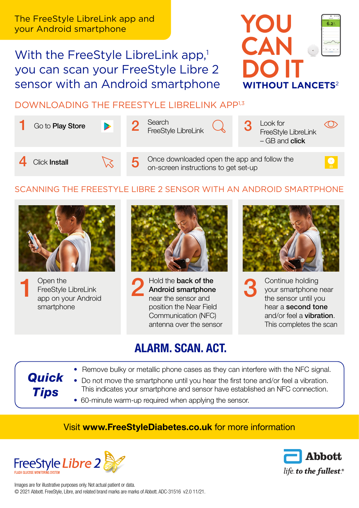The FreeStyle LibreLink app and your Android smartphone

With the FreeStyle LibreLink app,<sup>1</sup> you can scan your FreeStyle Libre 2 sensor with an Android smartphone



### DOWNI OADING THE FREESTYLE LIBRELINK APP<sup>1,3</sup>

| Go to Play Store     |  | Search<br>FreeStyle LibreLink                                                       |  | Look for<br>FreeStyle LibreLink<br>$-$ GB and click |                  |
|----------------------|--|-------------------------------------------------------------------------------------|--|-----------------------------------------------------|------------------|
| Click <b>Install</b> |  | Once downloaded open the app and follow the<br>on-screen instructions to get set-up |  |                                                     | $\frac{1}{\Box}$ |

### SCANNING THE FREESTYLE LIBRE 2 SENSOR WITH AN ANDROID SMARTPHONE







2 Hold the back of the Android smartphone near the sensor and position the Near Field Communication (NFC) antenna over the sensor



3 Continue holding your smartphone near the sensor until you hear a second tone and/or feel a vibration. This completes the scan

## ALARM. SCAN. ACT.

# *Quick Tips*

- Remove bulky or metallic phone cases as they can interfere with the NFC signal.
- Do not move the smartphone until you hear the first tone and/or feel a vibration. This indicates your smartphone and sensor have established an NFC connection.
- 60-minute warm-up required when applying the sensor.

### Visit www.FreeStyleDiabetes.co.uk for more information